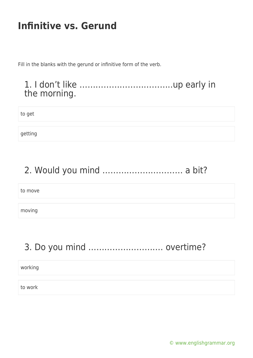Fill in the blanks with the gerund or infinitive form of the verb.

#### 1. I don't like ……………………………..up early in the morning.

to get

getting

# 2. Would you mind ………………………… a bit?

to move

moving

# 3. Do you mind ………………………. overtime?

working

to work

[© www.englishgrammar.org](https://www.englishgrammar.org/)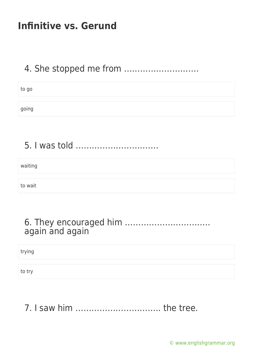### 4. She stopped me from ……………………….

| to go |  |  |
|-------|--|--|
|       |  |  |
| going |  |  |

# 5. I was told ………………………….

waiting

to wait

#### 6. They encouraged him ………………………….. again and again

trying

to try

7. I saw him ………………………….. the tree.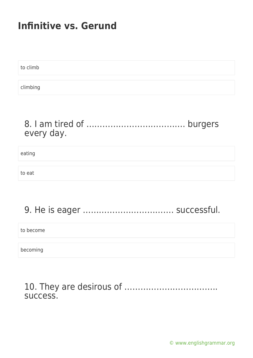to climb climbing

#### 8. I am tired of ………………………………. burgers every day.

eating

to eat

# 9. He is eager ……………………………. successful.

to become

becoming

#### 10. They are desirous of …………………………….. success.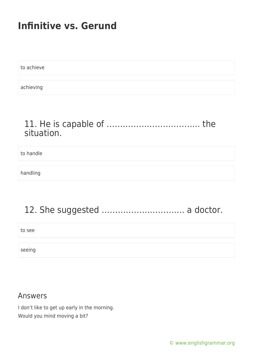to achieve achieving

#### 11. He is capable of …………………………….. the situation.

to handle

handling

# 12. She suggested …………………………. a doctor.

to see

seeing

#### Answers

I don't like to get up early in the morning. Would you mind moving a bit?